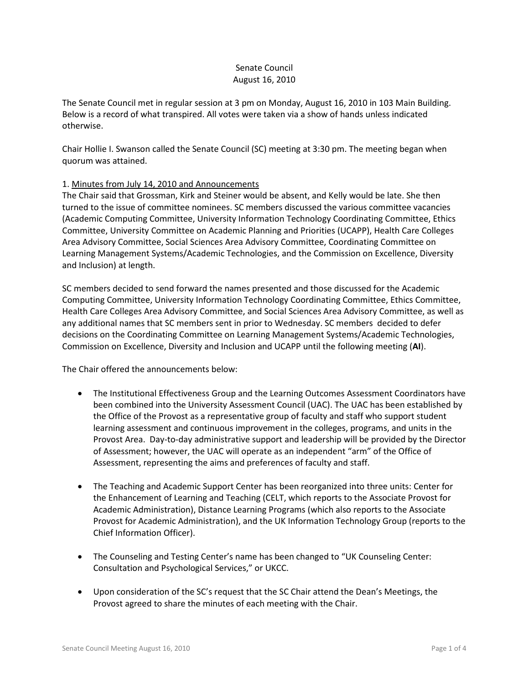# Senate Council August 16, 2010

The Senate Council met in regular session at 3 pm on Monday, August 16, 2010 in 103 Main Building. Below is a record of what transpired. All votes were taken via a show of hands unless indicated otherwise.

Chair Hollie I. Swanson called the Senate Council (SC) meeting at 3:30 pm. The meeting began when quorum was attained.

# 1. Minutes from July 14, 2010 and Announcements

The Chair said that Grossman, Kirk and Steiner would be absent, and Kelly would be late. She then turned to the issue of committee nominees. SC members discussed the various committee vacancies (Academic Computing Committee, University Information Technology Coordinating Committee, Ethics Committee, University Committee on Academic Planning and Priorities (UCAPP), Health Care Colleges Area Advisory Committee, Social Sciences Area Advisory Committee, Coordinating Committee on Learning Management Systems/Academic Technologies, and the Commission on Excellence, Diversity and Inclusion) at length.

SC members decided to send forward the names presented and those discussed for the Academic Computing Committee, University Information Technology Coordinating Committee, Ethics Committee, Health Care Colleges Area Advisory Committee, and Social Sciences Area Advisory Committee, as well as any additional names that SC members sent in prior to Wednesday. SC members decided to defer decisions on the Coordinating Committee on Learning Management Systems/Academic Technologies, Commission on Excellence, Diversity and Inclusion and UCAPP until the following meeting (**AI**).

The Chair offered the announcements below:

- The Institutional Effectiveness Group and the Learning Outcomes Assessment Coordinators have been combined into the University Assessment Council (UAC). The UAC has been established by the Office of the Provost as a representative group of faculty and staff who support student learning assessment and continuous improvement in the colleges, programs, and units in the Provost Area. Day-to-day administrative support and leadership will be provided by the Director of Assessment; however, the UAC will operate as an independent "arm" of the Office of Assessment, representing the aims and preferences of faculty and staff.
- The Teaching and Academic Support Center has been reorganized into three units: Center for the Enhancement of Learning and Teaching (CELT, which reports to the Associate Provost for Academic Administration), Distance Learning Programs (which also reports to the Associate Provost for Academic Administration), and the UK Information Technology Group (reports to the Chief Information Officer).
- The Counseling and Testing Center's name has been changed to "UK Counseling Center: Consultation and Psychological Services," or UKCC.
- Upon consideration of the SC's request that the SC Chair attend the Dean's Meetings, the Provost agreed to share the minutes of each meeting with the Chair.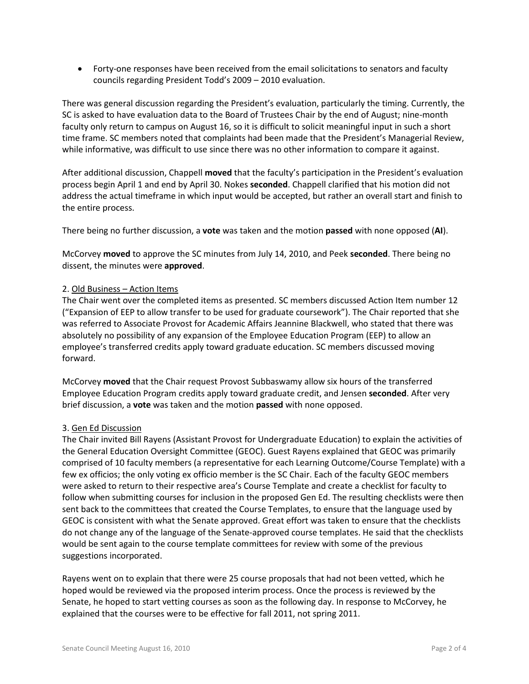• Forty-one responses have been received from the email solicitations to senators and faculty councils regarding President Todd's 2009 – 2010 evaluation.

There was general discussion regarding the President's evaluation, particularly the timing. Currently, the SC is asked to have evaluation data to the Board of Trustees Chair by the end of August; nine-month faculty only return to campus on August 16, so it is difficult to solicit meaningful input in such a short time frame. SC members noted that complaints had been made that the President's Managerial Review, while informative, was difficult to use since there was no other information to compare it against.

After additional discussion, Chappell **moved** that the faculty's participation in the President's evaluation process begin April 1 and end by April 30. Nokes **seconded**. Chappell clarified that his motion did not address the actual timeframe in which input would be accepted, but rather an overall start and finish to the entire process.

There being no further discussion, a **vote** was taken and the motion **passed** with none opposed (**AI**).

McCorvey **moved** to approve the SC minutes from July 14, 2010, and Peek **seconded**. There being no dissent, the minutes were **approved**.

# 2. Old Business – Action Items

The Chair went over the completed items as presented. SC members discussed Action Item number 12 ("Expansion of EEP to allow transfer to be used for graduate coursework"). The Chair reported that she was referred to Associate Provost for Academic Affairs Jeannine Blackwell, who stated that there was absolutely no possibility of any expansion of the Employee Education Program (EEP) to allow an employee's transferred credits apply toward graduate education. SC members discussed moving forward.

McCorvey **moved** that the Chair request Provost Subbaswamy allow six hours of the transferred Employee Education Program credits apply toward graduate credit, and Jensen **seconded**. After very brief discussion, a **vote** was taken and the motion **passed** with none opposed.

# 3. Gen Ed Discussion

The Chair invited Bill Rayens (Assistant Provost for Undergraduate Education) to explain the activities of the General Education Oversight Committee (GEOC). Guest Rayens explained that GEOC was primarily comprised of 10 faculty members (a representative for each Learning Outcome/Course Template) with a few ex officios; the only voting ex officio member is the SC Chair. Each of the faculty GEOC members were asked to return to their respective area's Course Template and create a checklist for faculty to follow when submitting courses for inclusion in the proposed Gen Ed. The resulting checklists were then sent back to the committees that created the Course Templates, to ensure that the language used by GEOC is consistent with what the Senate approved. Great effort was taken to ensure that the checklists do not change any of the language of the Senate-approved course templates. He said that the checklists would be sent again to the course template committees for review with some of the previous suggestions incorporated.

Rayens went on to explain that there were 25 course proposals that had not been vetted, which he hoped would be reviewed via the proposed interim process. Once the process is reviewed by the Senate, he hoped to start vetting courses as soon as the following day. In response to McCorvey, he explained that the courses were to be effective for fall 2011, not spring 2011.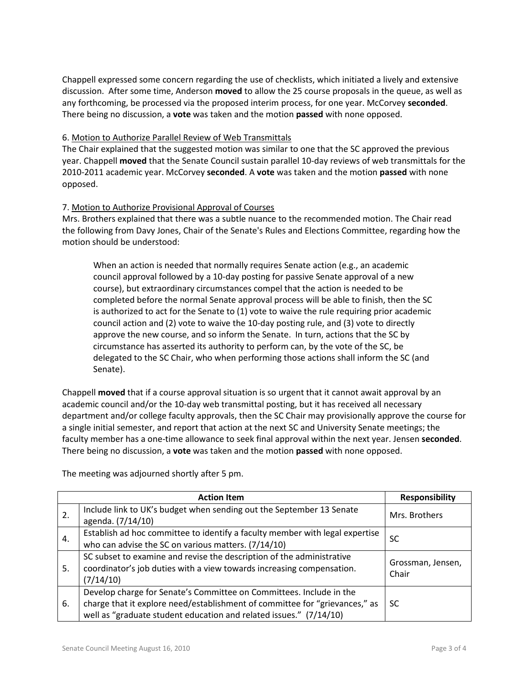Chappell expressed some concern regarding the use of checklists, which initiated a lively and extensive discussion. After some time, Anderson **moved** to allow the 25 course proposals in the queue, as well as any forthcoming, be processed via the proposed interim process, for one year. McCorvey **seconded**. There being no discussion, a **vote** was taken and the motion **passed** with none opposed.

# 6. Motion to Authorize Parallel Review of Web Transmittals

The Chair explained that the suggested motion was similar to one that the SC approved the previous year. Chappell **moved** that the Senate Council sustain parallel 10-day reviews of web transmittals for the 2010-2011 academic year. McCorvey **seconded**. A **vote** was taken and the motion **passed** with none opposed.

# 7. Motion to Authorize Provisional Approval of Courses

Mrs. Brothers explained that there was a subtle nuance to the recommended motion. The Chair read the following from Davy Jones, Chair of the Senate's Rules and Elections Committee, regarding how the motion should be understood:

When an action is needed that normally requires Senate action (e.g., an academic council approval followed by a 10-day posting for passive Senate approval of a new course), but extraordinary circumstances compel that the action is needed to be completed before the normal Senate approval process will be able to finish, then the SC is authorized to act for the Senate to (1) vote to waive the rule requiring prior academic council action and (2) vote to waive the 10-day posting rule, and (3) vote to directly approve the new course, and so inform the Senate. In turn, actions that the SC by circumstance has asserted its authority to perform can, by the vote of the SC, be delegated to the SC Chair, who when performing those actions shall inform the SC (and Senate).

Chappell **moved** that if a course approval situation is so urgent that it cannot await approval by an academic council and/or the 10-day web transmittal posting, but it has received all necessary department and/or college faculty approvals, then the SC Chair may provisionally approve the course for a single initial semester, and report that action at the next SC and University Senate meetings; the faculty member has a one-time allowance to seek final approval within the next year. Jensen **seconded**. There being no discussion, a **vote** was taken and the motion **passed** with none opposed.

|    | <b>Action Item</b>                                                                                                                                                                                                       | <b>Responsibility</b>      |
|----|--------------------------------------------------------------------------------------------------------------------------------------------------------------------------------------------------------------------------|----------------------------|
| 2. | Include link to UK's budget when sending out the September 13 Senate<br>agenda. (7/14/10)                                                                                                                                | Mrs. Brothers              |
| 4. | Establish ad hoc committee to identify a faculty member with legal expertise<br>who can advise the SC on various matters. (7/14/10)                                                                                      | SC                         |
| 5. | SC subset to examine and revise the description of the administrative<br>coordinator's job duties with a view towards increasing compensation.<br>(7/14/10)                                                              | Grossman, Jensen,<br>Chair |
| 6. | Develop charge for Senate's Committee on Committees. Include in the<br>charge that it explore need/establishment of committee for "grievances," as<br>well as "graduate student education and related issues." (7/14/10) | SC                         |

The meeting was adjourned shortly after 5 pm.